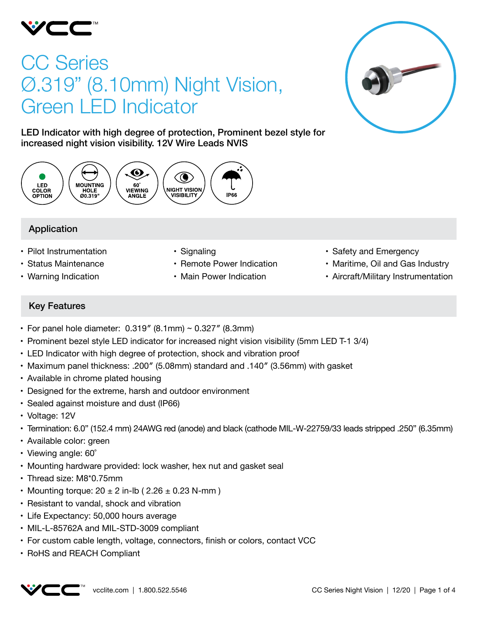

# CC Series Ø.319" (8.10mm) Night Vision, Green LED Indicator



LED Indicator with high degree of protection, Prominent bezel style for increased night vision visibility. 12V Wire Leads NVIS



## Application

- Pilot Instrumentation
- • Status Maintenance
- • Warning Indication
- Signaling
- Remote Power Indication
- Main Power Indication
- Safety and Emergency
- Maritime, Oil and Gas Industry
- Aircraft/Military Instrumentation

## Key Features

- For panel hole diameter:  $0.319''$  (8.1mm) ~  $0.327''$  (8.3mm)
- • Prominent bezel style LED indicator for increased night vision visibility (5mm LED T-1 3/4)
- LED Indicator with high degree of protection, shock and vibration proof
- • Maximum panel thickness: .200″ (5.08mm) standard and .140″ (3.56mm) with gasket
- Available in chrome plated housing
- Designed for the extreme, harsh and outdoor environment
- Sealed against moisture and dust (IP66)
- • Voltage: 12V
- • Termination: 6.0" (152.4 mm) 24AWG red (anode) and black (cathode MIL-W-22759/33 leads stripped .250" (6.35mm)
- Available color: green
- Viewing angle: 60°
- Mounting hardware provided: lock washer, hex nut and gasket seal
- Thread size: M8\*0.75mm
- Mounting torque:  $20 \pm 2$  in-lb (  $2.26 \pm 0.23$  N-mm )
- Resistant to vandal, shock and vibration
- Life Expectancy: 50,000 hours average
- MIL-L-85762A and MIL-STD-3009 compliant
- For custom cable length, voltage, connectors, finish or colors, contact VCC
- RoHS and REACH Compliant

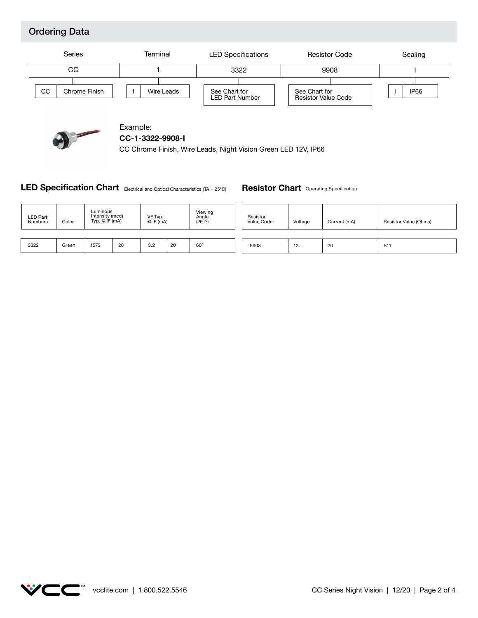## Ordering Data





Example: **CC-1-3322-9908-I**

CC Chrome Finish, Wire Leads, Night Vision Green LED 12V, IP66

### LED Specification Chart Electrical and Optical Characteristics (TA = 25°C)

**Resistor Chart** Operating Specification

| <b>LED Part</b><br><b>Numbers</b> | Color | Luminous<br>Intensity (mcd)<br>Typ. $@$ IF $(mA)$ |    | VF Typ.<br>@ IF (mA) |    | Viewing<br>Angle<br>$(2\theta^{1/2})$ | Resistor<br>Value Code | Voltage | Current (mA) | Resistor Value (Ohms) |
|-----------------------------------|-------|---------------------------------------------------|----|----------------------|----|---------------------------------------|------------------------|---------|--------------|-----------------------|
|                                   |       |                                                   |    |                      |    |                                       |                        |         |              |                       |
| 3322                              | Green | 1573                                              | 20 | 3.2                  | 20 | 60                                    | 9908                   | 12      | 20           | 511                   |

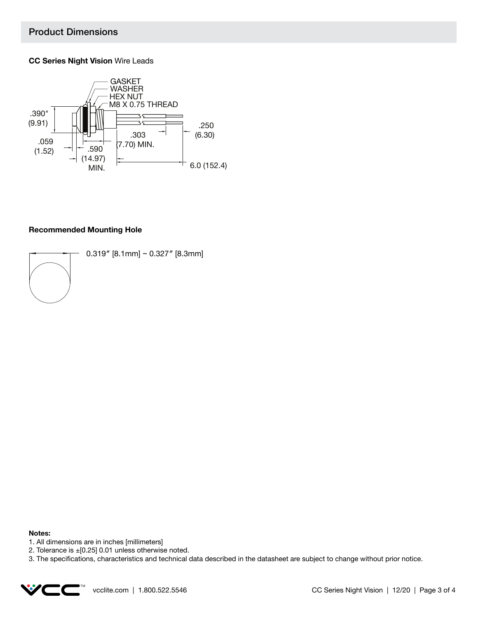## Product Dimensions

### **CC Series Night Vision** Wire Leads



### **Recommended Mounting Hole**



0.319″ [8.1mm] ~ 0.327″ [8.3mm]

#### **Notes:**

- 1. All dimensions are in inches [millimeters]
- 2. Tolerance is ±[0.25] 0.01 unless otherwise noted.

3. The specifications, characteristics and technical data described in the datasheet are subject to change without prior notice.